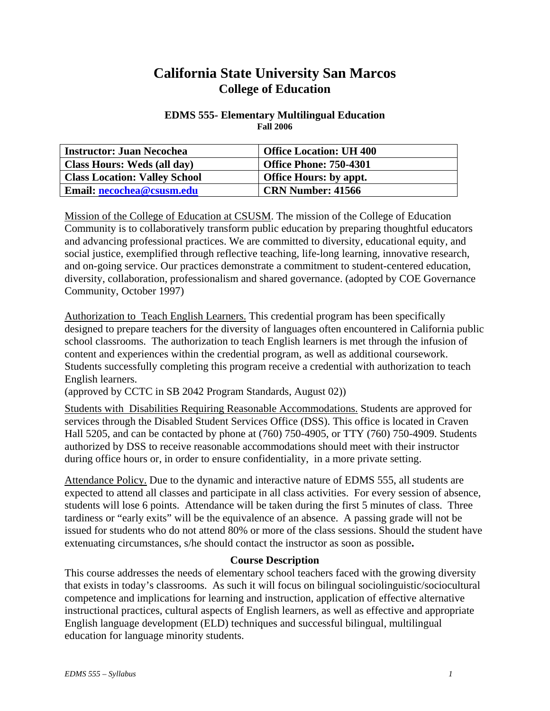# **California State University San Marcos College of Education**

#### **EDMS 555- Elementary Multilingual Education Fall 2006**

| <b>Instructor: Juan Necochea</b>     | <b>Office Location: UH 400</b> |
|--------------------------------------|--------------------------------|
| Class Hours: Weds (all day)          | <b>Office Phone: 750-4301</b>  |
| <b>Class Location: Valley School</b> | <b>Office Hours: by appt.</b>  |
| Email: necochea@csusm.edu            | <b>CRN Number: 41566</b>       |

Mission of the College of Education at CSUSM. The mission of the College of Education Community is to collaboratively transform public education by preparing thoughtful educators and advancing professional practices. We are committed to diversity, educational equity, and social justice, exemplified through reflective teaching, life-long learning, innovative research, and on-going service. Our practices demonstrate a commitment to student-centered education, diversity, collaboration, professionalism and shared governance. (adopted by COE Governance Community, October 1997)

Authorization to Teach English Learners. This credential program has been specifically designed to prepare teachers for the diversity of languages often encountered in California public school classrooms. The authorization to teach English learners is met through the infusion of content and experiences within the credential program, as well as additional coursework. Students successfully completing this program receive a credential with authorization to teach English learners.

(approved by CCTC in SB 2042 Program Standards, August 02))

Students with Disabilities Requiring Reasonable Accommodations. Students are approved for services through the Disabled Student Services Office (DSS). This office is located in Craven Hall 5205, and can be contacted by phone at (760) 750-4905, or TTY (760) 750-4909. Students authorized by DSS to receive reasonable accommodations should meet with their instructor during office hours or, in order to ensure confidentiality, in a more private setting.

Attendance Policy. Due to the dynamic and interactive nature of EDMS 555, all students are expected to attend all classes and participate in all class activities. For every session of absence, students will lose 6 points. Attendance will be taken during the first 5 minutes of class. Three tardiness or "early exits" will be the equivalence of an absence. A passing grade will not be issued for students who do not attend 80% or more of the class sessions. Should the student have extenuating circumstances, s/he should contact the instructor as soon as possible**.**

#### **Course Description**

This course addresses the needs of elementary school teachers faced with the growing diversity that exists in today's classrooms. As such it will focus on bilingual sociolinguistic/sociocultural competence and implications for learning and instruction, application of effective alternative instructional practices, cultural aspects of English learners, as well as effective and appropriate English language development (ELD) techniques and successful bilingual, multilingual education for language minority students.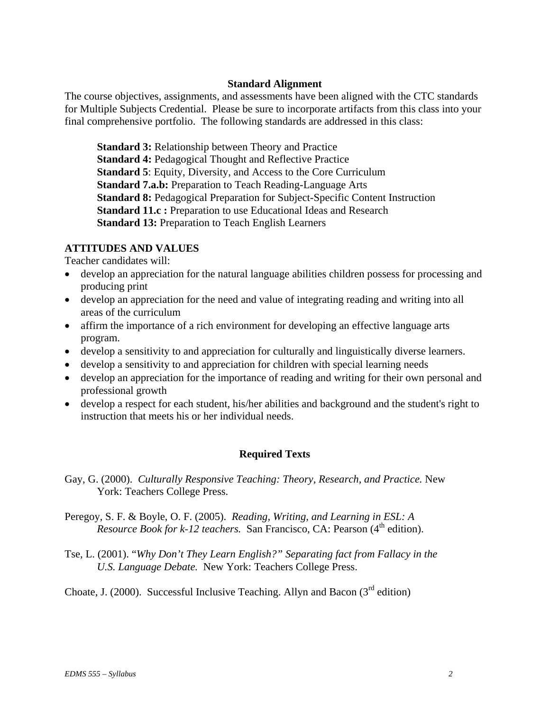# **Standard Alignment**

The course objectives, assignments, and assessments have been aligned with the CTC standards for Multiple Subjects Credential. Please be sure to incorporate artifacts from this class into your final comprehensive portfolio. The following standards are addressed in this class:

**Standard 3:** Relationship between Theory and Practice **Standard 4:** Pedagogical Thought and Reflective Practice **Standard 5**: Equity, Diversity, and Access to the Core Curriculum **Standard 7.a.b:** Preparation to Teach Reading-Language Arts **Standard 8:** Pedagogical Preparation for Subject-Specific Content Instruction **Standard 11.c :** Preparation to use Educational Ideas and Research **Standard 13:** Preparation to Teach English Learners

# **ATTITUDES AND VALUES**

Teacher candidates will:

- develop an appreciation for the natural language abilities children possess for processing and producing print
- develop an appreciation for the need and value of integrating reading and writing into all areas of the curriculum
- affirm the importance of a rich environment for developing an effective language arts program.
- develop a sensitivity to and appreciation for culturally and linguistically diverse learners.
- develop a sensitivity to and appreciation for children with special learning needs
- develop an appreciation for the importance of reading and writing for their own personal and professional growth
- develop a respect for each student, his/her abilities and background and the student's right to instruction that meets his or her individual needs.

# **Required Texts**

- Gay, G. (2000). *Culturally Responsive Teaching: Theory, Research, and Practice.* New York: Teachers College Press.
- Peregoy, S. F. & Boyle, O. F. (2005). *Reading, Writing, and Learning in ESL: A Resource Book for k-12 teachers.* San Francisco, CA: Pearson (4<sup>th</sup> edition).
- Tse, L. (2001). "*Why Don't They Learn English?" Separating fact from Fallacy in the U.S. Language Debate.* New York: Teachers College Press.

Choate, J. (2000). Successful Inclusive Teaching. Allyn and Bacon ( $3<sup>rd</sup>$  edition)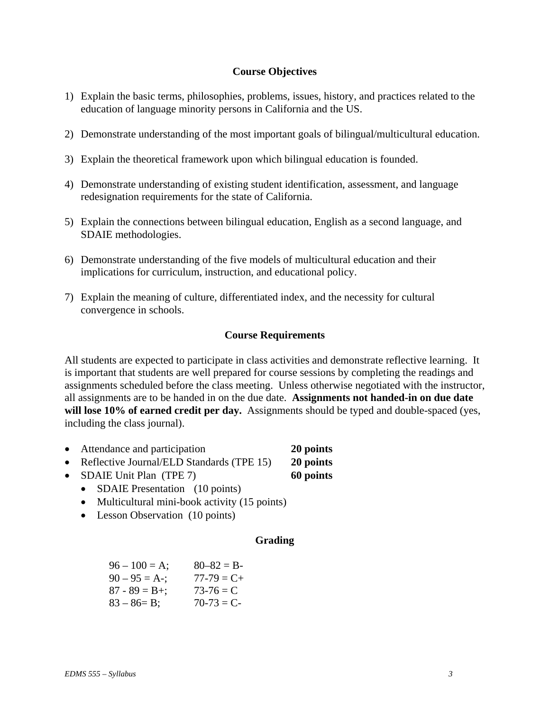# **Course Objectives**

- 1) Explain the basic terms, philosophies, problems, issues, history, and practices related to the education of language minority persons in California and the US.
- 2) Demonstrate understanding of the most important goals of bilingual/multicultural education.
- 3) Explain the theoretical framework upon which bilingual education is founded.
- 4) Demonstrate understanding of existing student identification, assessment, and language redesignation requirements for the state of California.
- 5) Explain the connections between bilingual education, English as a second language, and SDAIE methodologies.
- 6) Demonstrate understanding of the five models of multicultural education and their implications for curriculum, instruction, and educational policy.
- 7) Explain the meaning of culture, differentiated index, and the necessity for cultural convergence in schools.

### **Course Requirements**

All students are expected to participate in class activities and demonstrate reflective learning. It is important that students are well prepared for course sessions by completing the readings and assignments scheduled before the class meeting. Unless otherwise negotiated with the instructor, all assignments are to be handed in on the due date. **Assignments not handed-in on due date will lose 10% of earned credit per day.** Assignments should be typed and double-spaced (yes, including the class journal).

- Attendance and participation **20 points**
- Reflective Journal/ELD Standards (TPE 15) **20 points**
- SDAIE Unit Plan (TPE 7) **60 points**

- SDAIE Presentation (10 points)
- Multicultural mini-book activity (15 points)
- Lesson Observation (10 points)

# **Grading**

| $96 - 100 = A$ ;  | $80 - 82 = B$   |
|-------------------|-----------------|
| $90 - 95 = A -$ ; | $77 - 79 = C +$ |
| $87 - 89 = B +$ ; | $73-76 = C$     |
| $83 - 86 = B$ ;   | $70-73 = C$     |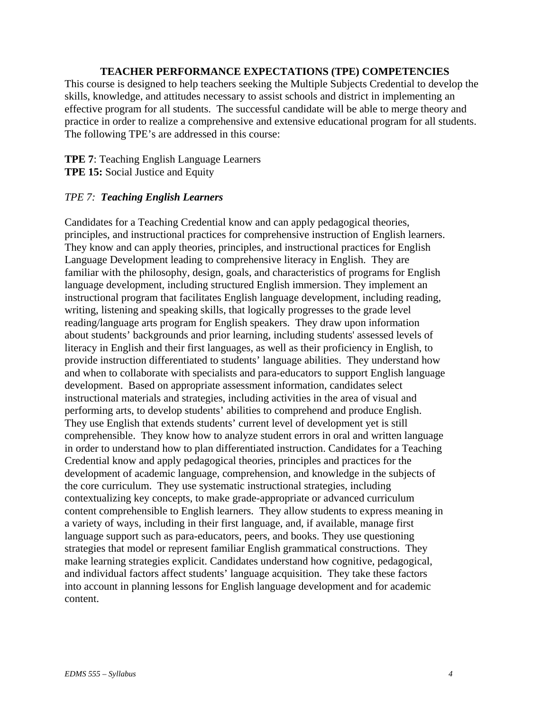# **TEACHER PERFORMANCE EXPECTATIONS (TPE) COMPETENCIES**

This course is designed to help teachers seeking the Multiple Subjects Credential to develop the skills, knowledge, and attitudes necessary to assist schools and district in implementing an effective program for all students. The successful candidate will be able to merge theory and practice in order to realize a comprehensive and extensive educational program for all students. The following TPE's are addressed in this course:

# **TPE 7**: Teaching English Language Learners **TPE 15:** Social Justice and Equity

### *TPE 7: Teaching English Learners*

Candidates for a Teaching Credential know and can apply pedagogical theories, principles, and instructional practices for comprehensive instruction of English learners. They know and can apply theories, principles, and instructional practices for English Language Development leading to comprehensive literacy in English. They are familiar with the philosophy, design, goals, and characteristics of programs for English language development, including structured English immersion. They implement an instructional program that facilitates English language development, including reading, writing, listening and speaking skills, that logically progresses to the grade level reading/language arts program for English speakers. They draw upon information about students' backgrounds and prior learning, including students' assessed levels of literacy in English and their first languages, as well as their proficiency in English, to provide instruction differentiated to students' language abilities. They understand how and when to collaborate with specialists and para-educators to support English language development. Based on appropriate assessment information, candidates select instructional materials and strategies, including activities in the area of visual and performing arts, to develop students' abilities to comprehend and produce English. They use English that extends students' current level of development yet is still comprehensible. They know how to analyze student errors in oral and written language in order to understand how to plan differentiated instruction. Candidates for a Teaching Credential know and apply pedagogical theories, principles and practices for the development of academic language, comprehension, and knowledge in the subjects of the core curriculum. They use systematic instructional strategies, including contextualizing key concepts, to make grade-appropriate or advanced curriculum content comprehensible to English learners. They allow students to express meaning in a variety of ways, including in their first language, and, if available, manage first language support such as para-educators, peers, and books. They use questioning strategies that model or represent familiar English grammatical constructions. They make learning strategies explicit. Candidates understand how cognitive, pedagogical, and individual factors affect students' language acquisition. They take these factors into account in planning lessons for English language development and for academic content.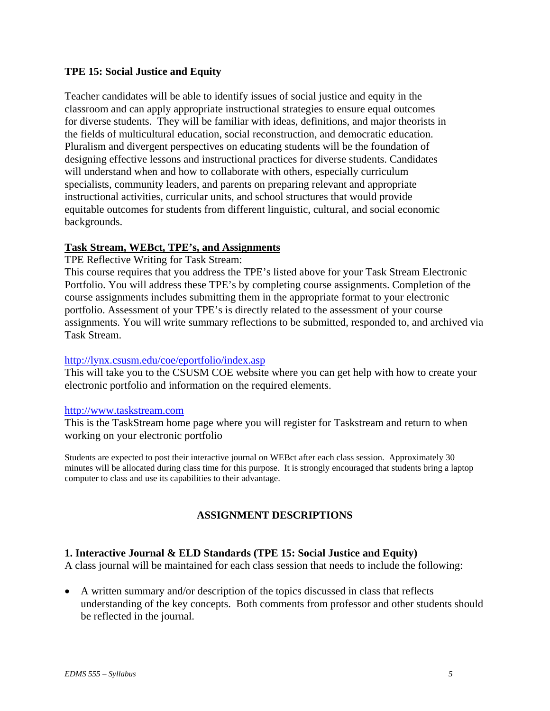# **TPE 15: Social Justice and Equity**

Teacher candidates will be able to identify issues of social justice and equity in the classroom and can apply appropriate instructional strategies to ensure equal outcomes for diverse students. They will be familiar with ideas, definitions, and major theorists in the fields of multicultural education, social reconstruction, and democratic education. Pluralism and divergent perspectives on educating students will be the foundation of designing effective lessons and instructional practices for diverse students. Candidates will understand when and how to collaborate with others, especially curriculum specialists, community leaders, and parents on preparing relevant and appropriate instructional activities, curricular units, and school structures that would provide equitable outcomes for students from different linguistic, cultural, and social economic backgrounds.

### **Task Stream, WEBct, TPE's, and Assignments**

TPE Reflective Writing for Task Stream:

This course requires that you address the TPE's listed above for your Task Stream Electronic Portfolio. You will address these TPE's by completing course assignments. Completion of the course assignments includes submitting them in the appropriate format to your electronic portfolio. Assessment of your TPE's is directly related to the assessment of your course assignments. You will write summary reflections to be submitted, responded to, and archived via Task Stream.

#### http://lynx.csusm.edu/coe/eportfolio/index.asp

This will take you to the CSUSM COE website where you can get help with how to create your electronic portfolio and information on the required elements.

#### http://www.taskstream.com

This is the TaskStream home page where you will register for Taskstream and return to when working on your electronic portfolio

Students are expected to post their interactive journal on WEBct after each class session. Approximately 30 minutes will be allocated during class time for this purpose. It is strongly encouraged that students bring a laptop computer to class and use its capabilities to their advantage.

# **ASSIGNMENT DESCRIPTIONS**

# **1. Interactive Journal & ELD Standards (TPE 15: Social Justice and Equity)**

A class journal will be maintained for each class session that needs to include the following:

• A written summary and/or description of the topics discussed in class that reflects understanding of the key concepts. Both comments from professor and other students should be reflected in the journal.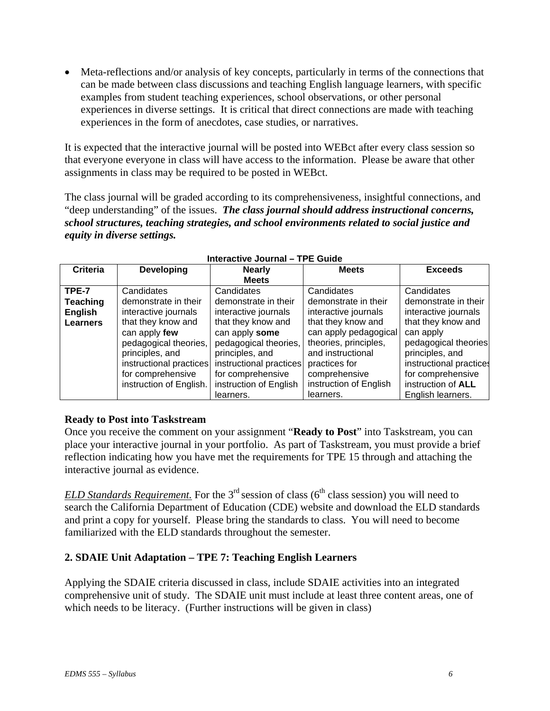• Meta-reflections and/or analysis of key concepts, particularly in terms of the connections that can be made between class discussions and teaching English language learners, with specific examples from student teaching experiences, school observations, or other personal experiences in diverse settings. It is critical that direct connections are made with teaching experiences in the form of anecdotes, case studies, or narratives.

It is expected that the interactive journal will be posted into WEBct after every class session so that everyone everyone in class will have access to the information. Please be aware that other assignments in class may be required to be posted in WEBct.

The class journal will be graded according to its comprehensiveness, insightful connections, and "deep understanding" of the issues. *The class journal should address instructional concerns, school structures, teaching strategies, and school environments related to social justice and equity in diverse settings.* 

| <b>Criteria</b> | <b>Developing</b>       | <b>Nearly</b>           | <b>Meets</b>           | <b>Exceeds</b>          |
|-----------------|-------------------------|-------------------------|------------------------|-------------------------|
|                 |                         | <b>Meets</b>            |                        |                         |
| TPE-7           | Candidates              | Candidates              | Candidates             | Candidates              |
| <b>Teaching</b> | demonstrate in their    | demonstrate in their    | demonstrate in their   | demonstrate in their    |
| <b>English</b>  | interactive journals    | interactive journals    | interactive journals   | interactive journals    |
| <b>Learners</b> | that they know and      | that they know and      | that they know and     | that they know and      |
|                 | can apply few           | can apply some          | can apply pedagogical  | can apply               |
|                 | pedagogical theories,   | pedagogical theories,   | theories, principles,  | pedagogical theories    |
|                 | principles, and         | principles, and         | and instructional      | principles, and         |
|                 | instructional practices | instructional practices | practices for          | instructional practices |
|                 | for comprehensive       | for comprehensive       | comprehensive          | for comprehensive       |
|                 | instruction of English. | instruction of English  | instruction of English | instruction of ALL      |
|                 |                         | learners.               | learners.              | English learners.       |

#### **Interactive Journal – TPE Guide**

# **Ready to Post into Taskstream**

Once you receive the comment on your assignment "**Ready to Post**" into Taskstream, you can place your interactive journal in your portfolio. As part of Taskstream, you must provide a brief reflection indicating how you have met the requirements for TPE 15 through and attaching the interactive journal as evidence.

*ELD Standards Requirement.* For the  $3<sup>rd</sup>$  session of class ( $6<sup>th</sup>$  class session) you will need to search the California Department of Education (CDE) website and download the ELD standards and print a copy for yourself. Please bring the standards to class. You will need to become familiarized with the ELD standards throughout the semester.

# **2. SDAIE Unit Adaptation – TPE 7: Teaching English Learners**

Applying the SDAIE criteria discussed in class, include SDAIE activities into an integrated comprehensive unit of study. The SDAIE unit must include at least three content areas, one of which needs to be literacy. (Further instructions will be given in class)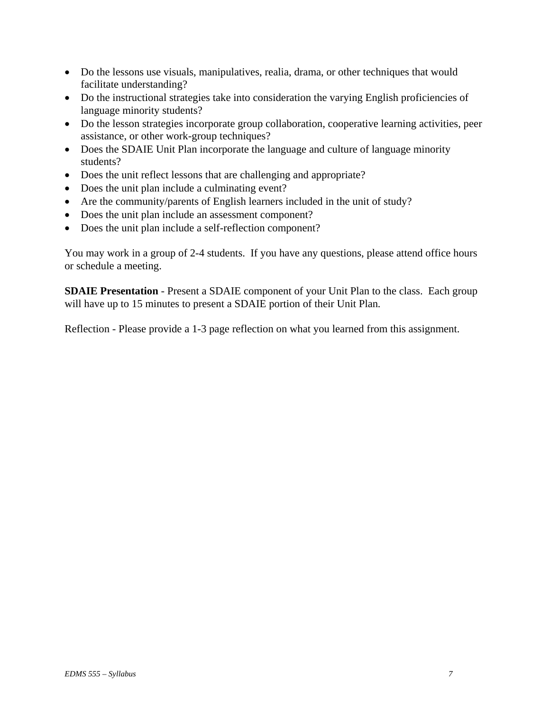- Do the lessons use visuals, manipulatives, realia, drama, or other techniques that would facilitate understanding?
- Do the instructional strategies take into consideration the varying English proficiencies of language minority students?
- Do the lesson strategies incorporate group collaboration, cooperative learning activities, peer assistance, or other work-group techniques?
- Does the SDAIE Unit Plan incorporate the language and culture of language minority students?
- Does the unit reflect lessons that are challenging and appropriate?
- Does the unit plan include a culminating event?
- Are the community/parents of English learners included in the unit of study?
- Does the unit plan include an assessment component?
- Does the unit plan include a self-reflection component?

You may work in a group of 2-4 students. If you have any questions, please attend office hours or schedule a meeting.

**SDAIE Presentation** - Present a SDAIE component of your Unit Plan to the class. Each group will have up to 15 minutes to present a SDAIE portion of their Unit Plan*.*

Reflection - Please provide a 1-3 page reflection on what you learned from this assignment.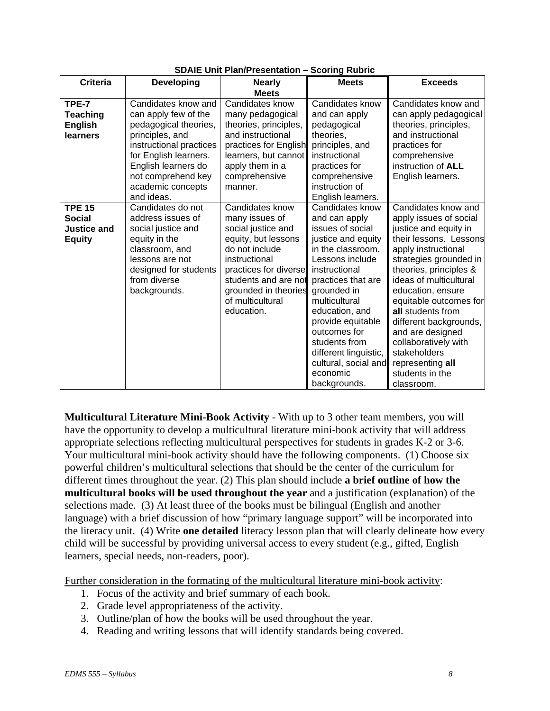| <b>Criteria</b>                                                       | <b>Developing</b>                                                                                                                                                                                                           | <b>Nearly</b>                                                                                                                                                                                                                | ooonng nuwin<br><b>Meets</b>                                                                                                                                                                                                                                                                                                                   | <b>Exceeds</b>                                                                                                                                                                                                                                                                                                                                                                                                       |
|-----------------------------------------------------------------------|-----------------------------------------------------------------------------------------------------------------------------------------------------------------------------------------------------------------------------|------------------------------------------------------------------------------------------------------------------------------------------------------------------------------------------------------------------------------|------------------------------------------------------------------------------------------------------------------------------------------------------------------------------------------------------------------------------------------------------------------------------------------------------------------------------------------------|----------------------------------------------------------------------------------------------------------------------------------------------------------------------------------------------------------------------------------------------------------------------------------------------------------------------------------------------------------------------------------------------------------------------|
|                                                                       |                                                                                                                                                                                                                             | <b>Meets</b>                                                                                                                                                                                                                 |                                                                                                                                                                                                                                                                                                                                                |                                                                                                                                                                                                                                                                                                                                                                                                                      |
| TPE-7<br><b>Teaching</b><br><b>English</b><br>learners                | Candidates know and<br>can apply few of the<br>pedagogical theories,<br>principles, and<br>instructional practices<br>for English learners.<br>English learners do<br>not comprehend key<br>academic concepts<br>and ideas. | Candidates know<br>many pedagogical<br>theories, principles,<br>and instructional<br>practices for English<br>learners, but cannot<br>apply them in a<br>comprehensive<br>manner.                                            | Candidates know<br>and can apply<br>pedagogical<br>theories,<br>principles, and<br>instructional<br>practices for<br>comprehensive<br>instruction of<br>English learners.                                                                                                                                                                      | Candidates know and<br>can apply pedagogical<br>theories, principles,<br>and instructional<br>practices for<br>comprehensive<br>instruction of ALL<br>English learners.                                                                                                                                                                                                                                              |
| <b>TPE 15</b><br><b>Social</b><br><b>Justice and</b><br><b>Equity</b> | Candidates do not<br>address issues of<br>social justice and<br>equity in the<br>classroom, and<br>lessons are not<br>designed for students<br>from diverse<br>backgrounds.                                                 | Candidates know<br>many issues of<br>social justice and<br>equity, but lessons<br>do not include<br>instructional<br>practices for diverse<br>students and are not<br>grounded in theories<br>of multicultural<br>education. | Candidates know<br>and can apply<br>issues of social<br>justice and equity<br>in the classroom.<br>Lessons include<br>instructional<br>practices that are<br>grounded in<br>multicultural<br>education, and<br>provide equitable<br>outcomes for<br>students from<br>different linguistic,<br>cultural, social and<br>economic<br>backgrounds. | Candidates know and<br>apply issues of social<br>justice and equity in<br>their lessons. Lessons<br>apply instructional<br>strategies grounded in<br>theories, principles &<br>ideas of multicultural<br>education, ensure<br>equitable outcomes for<br>all students from<br>different backgrounds,<br>and are designed<br>collaboratively with<br>stakeholders<br>representing all<br>students in the<br>classroom. |

# **SDAIE Unit Plan/Presentation – Scoring Rubric**

**Multicultural Literature Mini-Book Activity** - With up to 3 other team members, you will have the opportunity to develop a multicultural literature mini-book activity that will address appropriate selections reflecting multicultural perspectives for students in grades K-2 or 3-6. Your multicultural mini-book activity should have the following components. (1) Choose six powerful children's multicultural selections that should be the center of the curriculum for different times throughout the year. (2) This plan should include **a brief outline of how the multicultural books will be used throughout the year** and a justification (explanation) of the selections made. (3) At least three of the books must be bilingual (English and another language) with a brief discussion of how "primary language support" will be incorporated into the literacy unit. (4) Write **one detailed** literacy lesson plan that will clearly delineate how every child will be successful by providing universal access to every student (e.g., gifted, English learners, special needs, non-readers, poor).

Further consideration in the formating of the multicultural literature mini-book activity:

- 1. Focus of the activity and brief summary of each book.
- 2. Grade level appropriateness of the activity.
- 3. Outline/plan of how the books will be used throughout the year.
- 4. Reading and writing lessons that will identify standards being covered.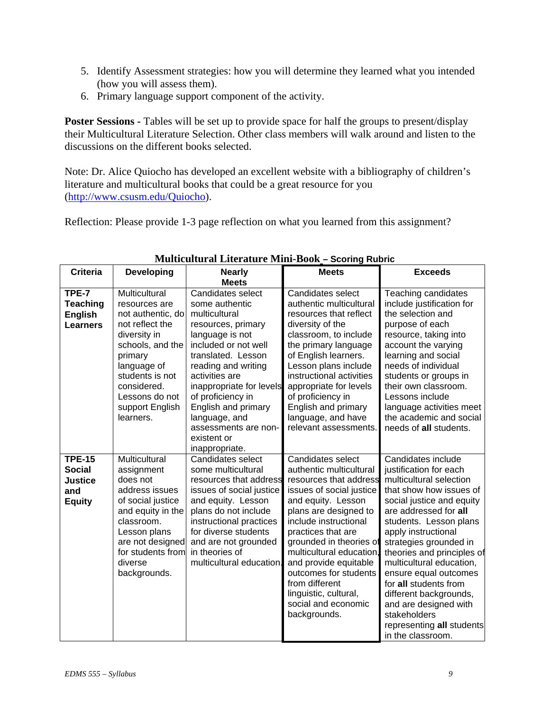- 5. Identify Assessment strategies: how you will determine they learned what you intended (how you will assess them).
- 6. Primary language support component of the activity.

**Poster Sessions -** Tables will be set up to provide space for half the groups to present/display their Multicultural Literature Selection. Other class members will walk around and listen to the discussions on the different books selected.

Note: Dr. Alice Quiocho has developed an excellent website with a bibliography of children's literature and multicultural books that could be a great resource for you (http://www.csusm.edu/Quiocho).

Reflection: Please provide 1-3 page reflection on what you learned from this assignment?

| <b>Criteria</b>                                                   | <b>Developing</b>                                                                                                                                                                                                        | <b>Nearly</b>                                                                                                                                                                                                                                                                                                                          | <b>Meets</b>                                                                                                                                                                                                                                                                                                                                                                               | <b>Exceeds</b>                                                                                                                                                                                                                                                                                                                                                                                                                                                       |
|-------------------------------------------------------------------|--------------------------------------------------------------------------------------------------------------------------------------------------------------------------------------------------------------------------|----------------------------------------------------------------------------------------------------------------------------------------------------------------------------------------------------------------------------------------------------------------------------------------------------------------------------------------|--------------------------------------------------------------------------------------------------------------------------------------------------------------------------------------------------------------------------------------------------------------------------------------------------------------------------------------------------------------------------------------------|----------------------------------------------------------------------------------------------------------------------------------------------------------------------------------------------------------------------------------------------------------------------------------------------------------------------------------------------------------------------------------------------------------------------------------------------------------------------|
|                                                                   |                                                                                                                                                                                                                          | <b>Meets</b>                                                                                                                                                                                                                                                                                                                           |                                                                                                                                                                                                                                                                                                                                                                                            |                                                                                                                                                                                                                                                                                                                                                                                                                                                                      |
| TPE-7<br><b>Teaching</b><br><b>English</b><br><b>Learners</b>     | Multicultural<br>resources are<br>not authentic, do<br>not reflect the<br>diversity in<br>schools, and the<br>primary<br>language of<br>students is not<br>considered.<br>Lessons do not<br>support English<br>learners. | Candidates select<br>some authentic<br>multicultural<br>resources, primary<br>language is not<br>included or not well<br>translated. Lesson<br>reading and writing<br>activities are<br>inappropriate for levels<br>of proficiency in<br>English and primary<br>language, and<br>assessments are non-<br>existent or<br>inappropriate. | Candidates select<br>authentic multicultural<br>resources that reflect<br>diversity of the<br>classroom, to include<br>the primary language<br>of English learners.<br>Lesson plans include<br>instructional activities<br>appropriate for levels<br>of proficiency in<br>English and primary<br>language, and have<br>relevant assessments.                                               | Teaching candidates<br>include justification for<br>the selection and<br>purpose of each<br>resource, taking into<br>account the varying<br>learning and social<br>needs of individual<br>students or groups in<br>their own classroom.<br>Lessons include<br>language activities meet<br>the academic and social<br>needs of all students.                                                                                                                          |
| <b>TPE-15</b><br><b>Social</b><br>Justice<br>and<br><b>Equity</b> | Multicultural<br>assignment<br>does not<br>address issues<br>of social justice<br>and equity in the<br>classroom.<br>Lesson plans<br>are not designed<br>for students from<br>diverse<br>backgrounds.                    | Candidates select<br>some multicultural<br>resources that address<br>issues of social justice<br>and equity. Lesson<br>plans do not include<br>instructional practices<br>for diverse students<br>and are not grounded<br>in theories of<br>multicultural education.                                                                   | Candidates select<br>authentic multicultural<br>resources that address<br>issues of social justice<br>and equity. Lesson<br>plans are designed to<br>include instructional<br>practices that are<br>grounded in theories of<br>multicultural education<br>and provide equitable<br>outcomes for students<br>from different<br>linguistic, cultural,<br>social and economic<br>backgrounds. | Candidates include<br>justification for each<br>multicultural selection<br>that show how issues of<br>social justice and equity<br>are addressed for all<br>students. Lesson plans<br>apply instructional<br>strategies grounded in<br>theories and principles of<br>multicultural education,<br>ensure equal outcomes<br>for all students from<br>different backgrounds,<br>and are designed with<br>stakeholders<br>representing all students<br>in the classroom. |

# **Multicultural Literature Mini-Book – Scoring Rubric**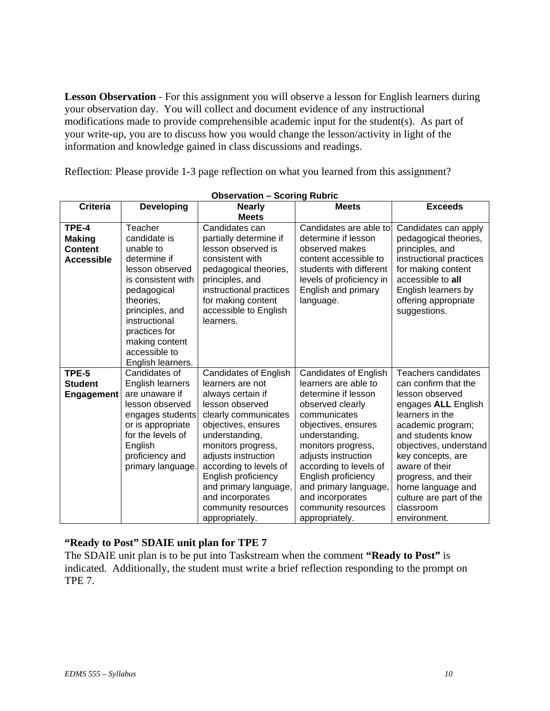**Lesson Observation** *-* For this assignment you will observe a lesson for English learners during your observation day. You will collect and document evidence of any instructional modifications made to provide comprehensible academic input for the student(s). As part of your write-up, you are to discuss how you would change the lesson/activity in light of the information and knowledge gained in class discussions and readings.

Reflection: Please provide 1-3 page reflection on what you learned from this assignment?

| <b>Criteria</b>                                               | <b>Developing</b>                                                                                                                                                                                                                      | <b>Nearly</b>                                                                                                                                                                                                                                                                                                                                 | <b>Meets</b>                                                                                                                                                                                                                                                                                                                                 | <b>Exceeds</b>                                                                                                                                                                                                                                                                                                          |
|---------------------------------------------------------------|----------------------------------------------------------------------------------------------------------------------------------------------------------------------------------------------------------------------------------------|-----------------------------------------------------------------------------------------------------------------------------------------------------------------------------------------------------------------------------------------------------------------------------------------------------------------------------------------------|----------------------------------------------------------------------------------------------------------------------------------------------------------------------------------------------------------------------------------------------------------------------------------------------------------------------------------------------|-------------------------------------------------------------------------------------------------------------------------------------------------------------------------------------------------------------------------------------------------------------------------------------------------------------------------|
|                                                               |                                                                                                                                                                                                                                        | <b>Meets</b>                                                                                                                                                                                                                                                                                                                                  |                                                                                                                                                                                                                                                                                                                                              |                                                                                                                                                                                                                                                                                                                         |
| TPE-4<br><b>Making</b><br><b>Content</b><br><b>Accessible</b> | Teacher<br>candidate is<br>unable to<br>determine if<br>lesson observed<br>is consistent with<br>pedagogical<br>theories,<br>principles, and<br>instructional<br>practices for<br>making content<br>accessible to<br>English learners. | Candidates can<br>partially determine if<br>lesson observed is<br>consistent with<br>pedagogical theories,<br>principles, and<br>instructional practices<br>for making content<br>accessible to English<br>learners.                                                                                                                          | Candidates are able to<br>determine if lesson<br>observed makes<br>content accessible to<br>students with different<br>levels of proficiency in<br>English and primary<br>language.                                                                                                                                                          | Candidates can apply<br>pedagogical theories,<br>principles, and<br>instructional practices<br>for making content<br>accessible to all<br>English learners by<br>offering appropriate<br>suggestions.                                                                                                                   |
| TPE-5<br><b>Student</b><br><b>Engagement</b>                  | Candidates of<br>English learners<br>are unaware if<br>lesson observed<br>engages students<br>or is appropriate<br>for the levels of<br>English<br>proficiency and<br>primary language.                                                | <b>Candidates of English</b><br>learners are not<br>always certain if<br>lesson observed<br>clearly communicates<br>objectives, ensures<br>understanding,<br>monitors progress,<br>adjusts instruction<br>according to levels of<br>English proficiency<br>and primary language,<br>and incorporates<br>community resources<br>appropriately. | <b>Candidates of English</b><br>learners are able to<br>determine if lesson<br>observed clearly<br>communicates<br>objectives, ensures<br>understanding,<br>monitors progress,<br>adjusts instruction<br>according to levels of<br>English proficiency<br>and primary language,<br>and incorporates<br>community resources<br>appropriately. | Teachers candidates<br>can confirm that the<br>lesson observed<br>engages ALL English<br>learners in the<br>academic program;<br>and students know<br>objectives, understand<br>key concepts, are<br>aware of their<br>progress, and their<br>home language and<br>culture are part of the<br>classroom<br>environment. |

#### **Observation – Scoring Rubric**

# **"Ready to Post" SDAIE unit plan for TPE 7**

The SDAIE unit plan is to be put into Taskstream when the comment **"Ready to Post"** is indicated. Additionally, the student must write a brief reflection responding to the prompt on TPE 7.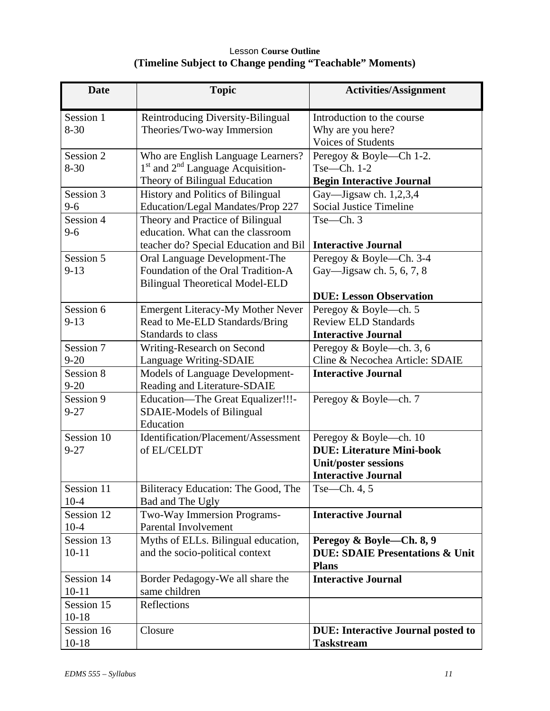# Lesson **Course Outline (Timeline Subject to Change pending "Teachable" Moments)**

| <b>Date</b>             | <b>Topic</b>                                                                                                                     | <b>Activities/Assignment</b>                                                                                            |
|-------------------------|----------------------------------------------------------------------------------------------------------------------------------|-------------------------------------------------------------------------------------------------------------------------|
| Session 1<br>$8 - 30$   | Reintroducing Diversity-Bilingual<br>Theories/Two-way Immersion                                                                  | Introduction to the course<br>Why are you here?<br><b>Voices of Students</b>                                            |
| Session 2<br>$8 - 30$   | Who are English Language Learners?<br>1 <sup>st</sup> and 2 <sup>nd</sup> Language Acquisition-<br>Theory of Bilingual Education | Peregoy & Boyle—Ch 1-2.<br>$Tse—Ch. 1-2$<br><b>Begin Interactive Journal</b>                                            |
| Session 3<br>$9 - 6$    | <b>History and Politics of Bilingual</b><br>Education/Legal Mandates/Prop 227                                                    | Gay—Jigsaw ch. $1,2,3,4$<br><b>Social Justice Timeline</b>                                                              |
| Session 4<br>$9 - 6$    | Theory and Practice of Bilingual<br>education. What can the classroom<br>teacher do? Special Education and Bil                   | Tse—Ch.3<br><b>Interactive Journal</b>                                                                                  |
| Session 5<br>$9 - 13$   | Oral Language Development-The<br>Foundation of the Oral Tradition-A<br><b>Bilingual Theoretical Model-ELD</b>                    | Peregoy & Boyle—Ch. 3-4<br>Gay—Jigsaw ch. 5, 6, 7, 8<br><b>DUE: Lesson Observation</b>                                  |
| Session 6<br>$9 - 13$   | <b>Emergent Literacy-My Mother Never</b><br>Read to Me-ELD Standards/Bring<br>Standards to class                                 | Peregoy & Boyle—ch. 5<br><b>Review ELD Standards</b><br><b>Interactive Journal</b>                                      |
| Session 7<br>$9 - 20$   | Writing-Research on Second<br>Language Writing-SDAIE                                                                             | Peregoy & Boyle—ch. 3, 6<br>Cline & Necochea Article: SDAIE                                                             |
| Session 8<br>$9 - 20$   | Models of Language Development-<br>Reading and Literature-SDAIE                                                                  | <b>Interactive Journal</b>                                                                                              |
| Session 9<br>$9 - 27$   | Education—The Great Equalizer!!!-<br><b>SDAIE-Models of Bilingual</b><br>Education                                               | Peregoy & Boyle—ch. 7                                                                                                   |
| Session 10<br>$9 - 27$  | Identification/Placement/Assessment<br>of EL/CELDT                                                                               | Peregoy & Boyle—ch. 10<br><b>DUE: Literature Mini-book</b><br><b>Unit/poster sessions</b><br><b>Interactive Journal</b> |
| Session 11<br>$10 - 4$  | Biliteracy Education: The Good, The<br>Bad and The Ugly                                                                          | Tse-Ch. $4, 5$                                                                                                          |
| Session 12<br>$10 - 4$  | Two-Way Immersion Programs-<br>Parental Involvement                                                                              | <b>Interactive Journal</b>                                                                                              |
| Session 13<br>$10 - 11$ | Myths of ELLs. Bilingual education,<br>and the socio-political context                                                           | Peregoy & Boyle—Ch. 8, 9<br><b>DUE: SDAIE Presentations &amp; Unit</b><br><b>Plans</b>                                  |
| Session 14<br>$10 - 11$ | Border Pedagogy-We all share the<br>same children                                                                                | <b>Interactive Journal</b>                                                                                              |
| Session 15<br>$10-18$   | Reflections                                                                                                                      |                                                                                                                         |
| Session 16<br>$10 - 18$ | Closure                                                                                                                          | <b>DUE:</b> Interactive Journal posted to<br><b>Taskstream</b>                                                          |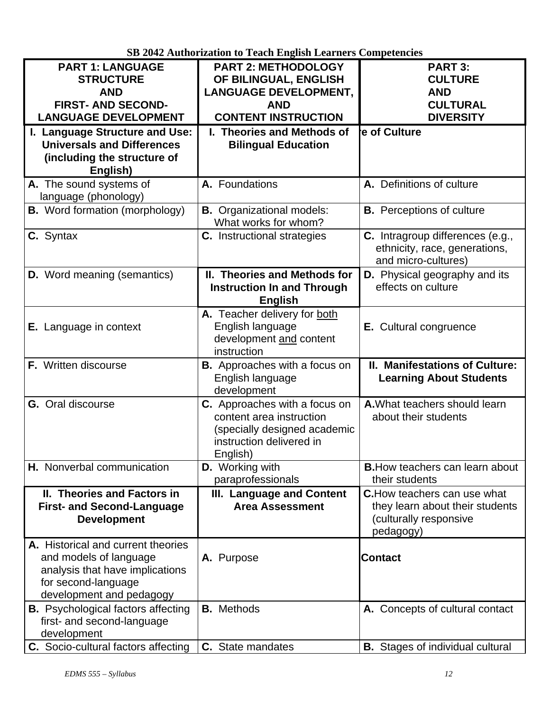|                                           | OD 2012 Authorization to Teach English Ecarners Competencies |                                         |
|-------------------------------------------|--------------------------------------------------------------|-----------------------------------------|
| <b>PART 1: LANGUAGE</b>                   | <b>PART 2: METHODOLOGY</b>                                   | <b>PART 3:</b>                          |
| <b>STRUCTURE</b>                          | OF BILINGUAL, ENGLISH                                        | <b>CULTURE</b>                          |
| <b>AND</b>                                | <b>LANGUAGE DEVELOPMENT,</b>                                 | <b>AND</b>                              |
| <b>FIRST- AND SECOND-</b>                 | <b>AND</b>                                                   | <b>CULTURAL</b>                         |
| <b>LANGUAGE DEVELOPMENT</b>               | <b>CONTENT INSTRUCTION</b>                                   | <b>DIVERSITY</b>                        |
|                                           | I. Theories and Methods of                                   | e of Culture                            |
| I. Language Structure and Use:            |                                                              |                                         |
| <b>Universals and Differences</b>         | <b>Bilingual Education</b>                                   |                                         |
| (including the structure of               |                                                              |                                         |
| English)                                  |                                                              |                                         |
| A. The sound systems of                   | A. Foundations                                               | A. Definitions of culture               |
| language (phonology)                      |                                                              |                                         |
| <b>B.</b> Word formation (morphology)     | <b>B.</b> Organizational models:                             | <b>B.</b> Perceptions of culture        |
|                                           | What works for whom?                                         |                                         |
| C. Syntax                                 |                                                              | C. Intragroup differences (e.g.,        |
|                                           | C. Instructional strategies                                  |                                         |
|                                           |                                                              | ethnicity, race, generations,           |
|                                           |                                                              | and micro-cultures)                     |
| <b>D.</b> Word meaning (semantics)        | II. Theories and Methods for                                 | <b>D.</b> Physical geography and its    |
|                                           | <b>Instruction In and Through</b>                            | effects on culture                      |
|                                           | <b>English</b>                                               |                                         |
|                                           | A. Teacher delivery for both                                 |                                         |
| <b>E.</b> Language in context             | English language                                             | E. Cultural congruence                  |
|                                           | development and content                                      |                                         |
|                                           | instruction                                                  |                                         |
|                                           |                                                              |                                         |
| F. Written discourse                      | <b>B.</b> Approaches with a focus on                         | II. Manifestations of Culture:          |
|                                           | English language                                             | <b>Learning About Students</b>          |
|                                           | development                                                  |                                         |
| <b>G.</b> Oral discourse                  | <b>C.</b> Approaches with a focus on                         | A. What teachers should learn           |
|                                           | content area instruction                                     | about their students                    |
|                                           | (specially designed academic                                 |                                         |
|                                           | instruction delivered in                                     |                                         |
|                                           | English)                                                     |                                         |
| H. Nonverbal communication                | <b>D.</b> Working with                                       | <b>B.</b> How teachers can learn about  |
|                                           | paraprofessionals                                            | their students                          |
| II. Theories and Factors in               | III. Language and Content                                    | <b>C.</b> How teachers can use what     |
|                                           | <b>Area Assessment</b>                                       |                                         |
| <b>First- and Second-Language</b>         |                                                              | they learn about their students         |
| <b>Development</b>                        |                                                              | (culturally responsive                  |
|                                           |                                                              | pedagogy)                               |
| A. Historical and current theories        |                                                              |                                         |
| and models of language                    | A. Purpose                                                   | <b>Contact</b>                          |
| analysis that have implications           |                                                              |                                         |
| for second-language                       |                                                              |                                         |
| development and pedagogy                  |                                                              |                                         |
| <b>B.</b> Psychological factors affecting | <b>B.</b> Methods                                            | A. Concepts of cultural contact         |
| first- and second-language                |                                                              |                                         |
| development                               |                                                              |                                         |
|                                           |                                                              |                                         |
| C. Socio-cultural factors affecting       | C. State mandates                                            | <b>B.</b> Stages of individual cultural |